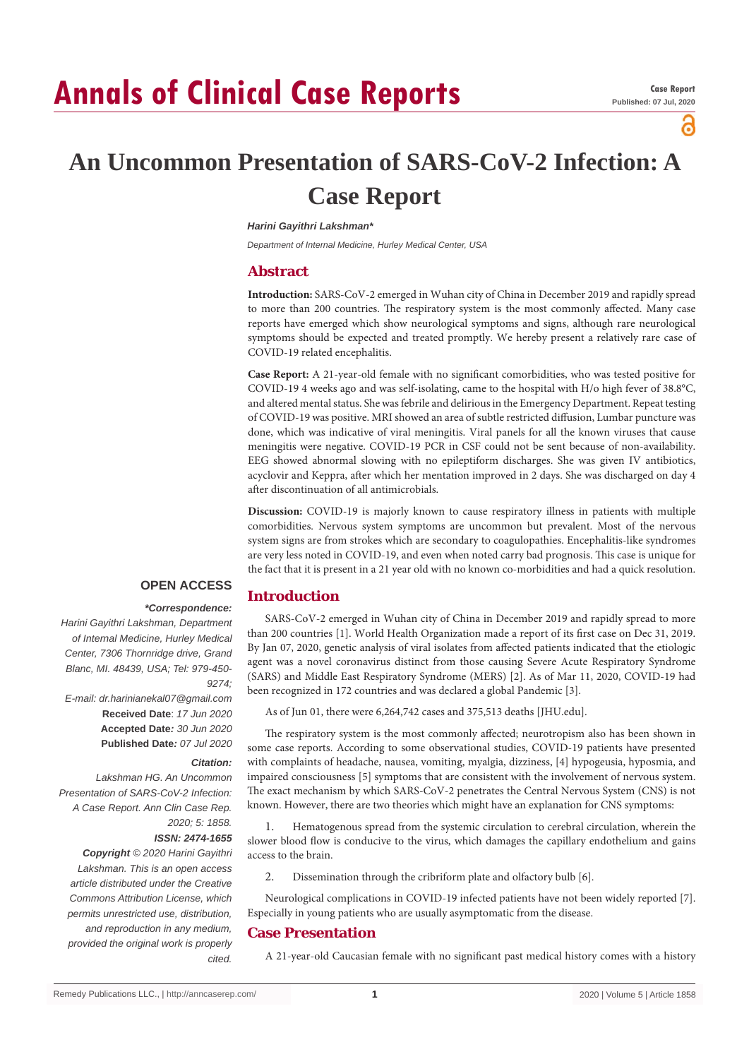# **Annals of Clinical Case Reports**

പ

## **An Uncommon Presentation of SARS-CoV-2 Infection: A Case Report**

#### *Harini Gayithri Lakshman\**

*Department of Internal Medicine, Hurley Medical Center, USA*

## **Abstract**

**Introduction:** SARS-CoV-2 emerged in Wuhan city of China in December 2019 and rapidly spread to more than 200 countries. The respiratory system is the most commonly affected. Many case reports have emerged which show neurological symptoms and signs, although rare neurological symptoms should be expected and treated promptly. We hereby present a relatively rare case of COVID-19 related encephalitis.

**Case Report:** A 21-year-old female with no significant comorbidities, who was tested positive for COVID-19 4 weeks ago and was self-isolating, came to the hospital with H/o high fever of 38.8°C, and altered mental status. She was febrile and delirious in the Emergency Department. Repeat testing of COVID-19 was positive. MRI showed an area of subtle restricted diffusion, Lumbar puncture was done, which was indicative of viral meningitis. Viral panels for all the known viruses that cause meningitis were negative. COVID-19 PCR in CSF could not be sent because of non-availability. EEG showed abnormal slowing with no epileptiform discharges. She was given IV antibiotics, acyclovir and Keppra, after which her mentation improved in 2 days. She was discharged on day 4 after discontinuation of all antimicrobials.

**Discussion:** COVID-19 is majorly known to cause respiratory illness in patients with multiple comorbidities. Nervous system symptoms are uncommon but prevalent. Most of the nervous system signs are from strokes which are secondary to coagulopathies. Encephalitis-like syndromes are very less noted in COVID-19, and even when noted carry bad prognosis. This case is unique for the fact that it is present in a 21 year old with no known co-morbidities and had a quick resolution.

## **OPEN ACCESS**  *\*Correspondence:*

*9274;*

*Citation:* 

*cited.*

*2020; 5: 1858. ISSN: 2474-1655*

*Harini Gayithri Lakshman, Department of Internal Medicine, Hurley Medical Center, 7306 Thornridge drive, Grand Blanc, MI. 48439, USA; Tel: 979-450-*

*E-mail: dr.harinianekal07@gmail.com* **Received Date**: *17 Jun 2020* **Accepted Date***: 30 Jun 2020* **Published Date***: 07 Jul 2020*

*Lakshman HG. An Uncommon Presentation of SARS-CoV-2 Infection: A Case Report. Ann Clin Case Rep.* 

*Copyright © 2020 Harini Gayithri Lakshman. This is an open access article distributed under the Creative Commons Attribution License, which permits unrestricted use, distribution, and reproduction in any medium, provided the original work is properly* 

## **Introduction**

SARS-CoV-2 emerged in Wuhan city of China in December 2019 and rapidly spread to more than 200 countries [1]. World Health Organization made a report of its first case on Dec 31, 2019. By Jan 07, 2020, genetic analysis of viral isolates from affected patients indicated that the etiologic agent was a novel coronavirus distinct from those causing Severe Acute Respiratory Syndrome (SARS) and Middle East Respiratory Syndrome (MERS) [2]. As of Mar 11, 2020, COVID-19 had been recognized in 172 countries and was declared a global Pandemic [3].

As of Jun 01, there were 6,264,742 cases and 375,513 deaths [JHU.edu].

The respiratory system is the most commonly affected; neurotropism also has been shown in some case reports. According to some observational studies, COVID-19 patients have presented with complaints of headache, nausea, vomiting, myalgia, dizziness, [4] hypogeusia, hyposmia, and impaired consciousness [5] symptoms that are consistent with the involvement of nervous system. The exact mechanism by which SARS-CoV-2 penetrates the Central Nervous System (CNS) is not known. However, there are two theories which might have an explanation for CNS symptoms:

1. Hematogenous spread from the systemic circulation to cerebral circulation, wherein the slower blood flow is conducive to the virus, which damages the capillary endothelium and gains access to the brain.

2. Dissemination through the cribriform plate and olfactory bulb [6].

Neurological complications in COVID-19 infected patients have not been widely reported [7]. Especially in young patients who are usually asymptomatic from the disease.

## **Case Presentation**

A 21-year-old Caucasian female with no significant past medical history comes with a history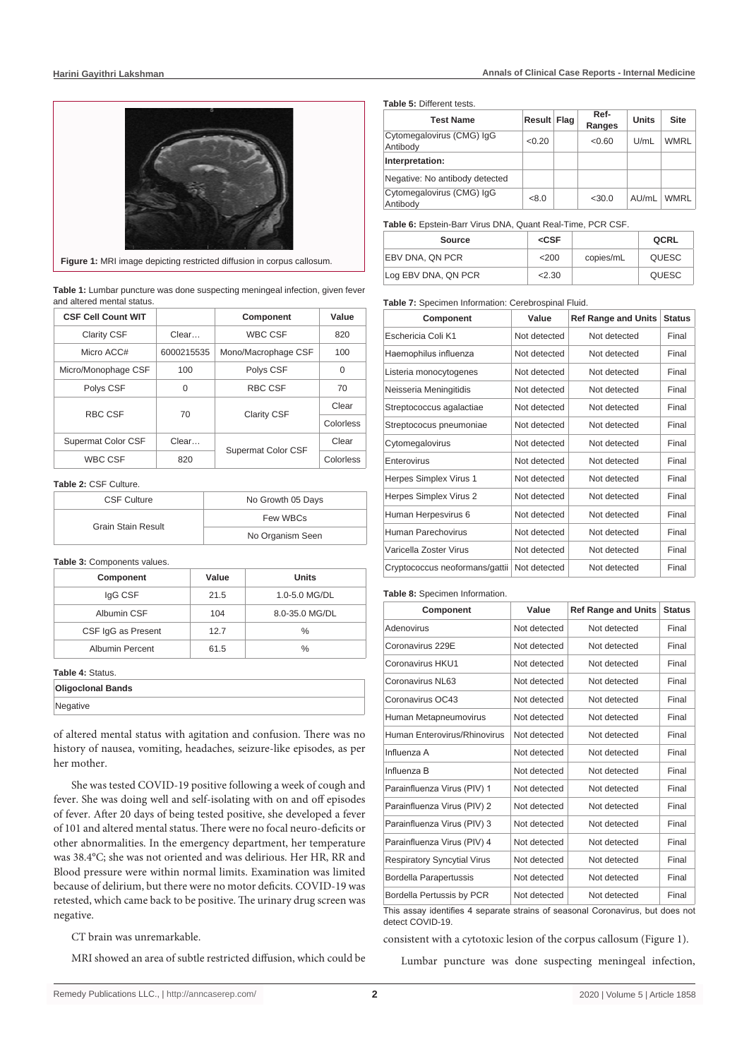

**Figure 1:** MRI image depicting restricted diffusion in corpus callosum.

**Table 1:** Lumbar puncture was done suspecting meningeal infection, given fever and altered mental status.

| <b>CSF Cell Count WIT</b> |            | Component           | Value     |
|---------------------------|------------|---------------------|-----------|
| <b>Clarity CSF</b>        | Clear      | <b>WBC CSF</b>      | 820       |
| Micro ACC#                | 6000215535 | Mono/Macrophage CSF | 100       |
| Micro/Monophage CSF       | 100        | Polys CSF           | 0         |
| Polys CSF                 | $\Omega$   | RBC CSF             | 70        |
| RBC CSF                   | 70         | <b>Clarity CSF</b>  | Clear     |
|                           |            |                     | Colorless |
| Supermat Color CSF        | Clear      |                     | Clear     |
| <b>WBC CSF</b>            | 820        | Supermat Color CSF  | Colorless |

**Table 2:** CSF Culture.

| <b>CSF Culture</b>        | No Growth 05 Days |  |
|---------------------------|-------------------|--|
| <b>Grain Stain Result</b> | Few WBCs          |  |
|                           | No Organism Seen  |  |

**Table 3:** Components values.

| Component              | Value | <b>Units</b>   |
|------------------------|-------|----------------|
| IgG CSF                | 21.5  | 1.0-5.0 MG/DL  |
| Albumin CSF            | 104   | 8.0-35.0 MG/DL |
| CSF IgG as Present     | 127   | $\%$           |
| <b>Albumin Percent</b> | 61.5  | %              |

## **Table 4:** Status.

| <b>Oligoclonal Bands</b> |  |
|--------------------------|--|
| Negative                 |  |
|                          |  |

of altered mental status with agitation and confusion. There was no history of nausea, vomiting, headaches, seizure-like episodes, as per her mother.

She was tested COVID-19 positive following a week of cough and fever. She was doing well and self-isolating with on and off episodes of fever. After 20 days of being tested positive, she developed a fever of 101 and altered mental status. There were no focal neuro-deficits or other abnormalities. In the emergency department, her temperature was 38.4°C; she was not oriented and was delirious. Her HR, RR and Blood pressure were within normal limits. Examination was limited because of delirium, but there were no motor deficits. COVID-19 was retested, which came back to be positive. The urinary drug screen was negative.

CT brain was unremarkable.

MRI showed an area of subtle restricted diffusion, which could be

#### **Table 5:** Different tests.

| <b>Test Name</b>                      | Result Flag | Ref-<br>Ranges | <b>Units</b> | <b>Site</b> |
|---------------------------------------|-------------|----------------|--------------|-------------|
| Cytomegalovirus (CMG) IgG<br>Antibody | <0.20       | < 0.60         | U/mL         | <b>WMRL</b> |
| Interpretation:                       |             |                |              |             |
| Negative: No antibody detected        |             |                |              |             |
| Cytomegalovirus (CMG) IgG<br>Antibody | < 8.0       | $<$ 30.0       | AU/mL        | <b>WMRI</b> |

#### **Table 6:** Epstein-Barr Virus DNA, Quant Real-Time, PCR CSF.

| Source              | $<$ CSF |           | QCRL  |
|---------------------|---------|-----------|-------|
| EBV DNA, QN PCR     | <200    | copies/mL | QUESC |
| Log EBV DNA, QN PCR | 2.30    |           | QUESC |

#### **Table 7:** Specimen Information: Cerebrospinal Fluid.

| Component                      | Value        | <b>Ref Range and Units</b> | <b>Status</b> |
|--------------------------------|--------------|----------------------------|---------------|
| Eschericia Coli K1             | Not detected | Not detected               | Final         |
| Haemophilus influenza          | Not detected | Not detected               | Final         |
| Listeria monocytogenes         | Not detected | Not detected               | Final         |
| Neisseria Meningitidis         | Not detected | Not detected               | Final         |
| Streptococcus agalactiae       | Not detected | Not detected               | Final         |
| Streptococus pneumoniae        | Not detected | Not detected               | Final         |
| Cytomegalovirus                | Not detected | Not detected               | Final         |
| Enterovirus                    | Not detected | Not detected               | Final         |
| Herpes Simplex Virus 1         | Not detected | Not detected               | Final         |
| Herpes Simplex Virus 2         | Not detected | Not detected               | Final         |
| Human Herpesvirus 6            | Not detected | Not detected               | Final         |
| Human Parechovirus             | Not detected | Not detected               | Final         |
| Varicella Zoster Virus         | Not detected | Not detected               | Final         |
| Cryptococcus neoformans/gattii | Not detected | Not detected               | Final         |

#### **Table 8:** Specimen Information.

| Component                          | Value        | <b>Ref Range and Units</b> | <b>Status</b> |
|------------------------------------|--------------|----------------------------|---------------|
| Adenovirus                         | Not detected | Not detected               | Final         |
| Coronavirus 229E                   | Not detected | Not detected               | Final         |
| Coronavirus HKU1                   | Not detected | Not detected               | Final         |
| Coronavirus NJ 63                  | Not detected | Not detected               | Final         |
| Coronavirus OC43                   | Not detected | Not detected               | Final         |
| Human Metapneumovirus              | Not detected | Not detected               | Final         |
| Human Enterovirus/Rhinovirus       | Not detected | Not detected               | Final         |
| Influenza A                        | Not detected | Not detected               | Final         |
| Influenza B                        | Not detected | Not detected               | Final         |
| Parainfluenza Virus (PIV) 1        | Not detected | Not detected               | Final         |
| Parainfluenza Virus (PIV) 2        | Not detected | Not detected               | Final         |
| Parainfluenza Virus (PIV) 3        | Not detected | Not detected               | Final         |
| Parainfluenza Virus (PIV) 4        | Not detected | Not detected               | Final         |
| <b>Respiratory Syncytial Virus</b> | Not detected | Not detected               | Final         |
| Bordella Parapertussis             | Not detected | Not detected               | Final         |
| Bordella Pertussis by PCR          | Not detected | Not detected               | Final         |

This assay identifies 4 separate strains of seasonal Coronavirus, but does not detect COVID-19.

consistent with a cytotoxic lesion of the corpus callosum (Figure 1).

Lumbar puncture was done suspecting meningeal infection,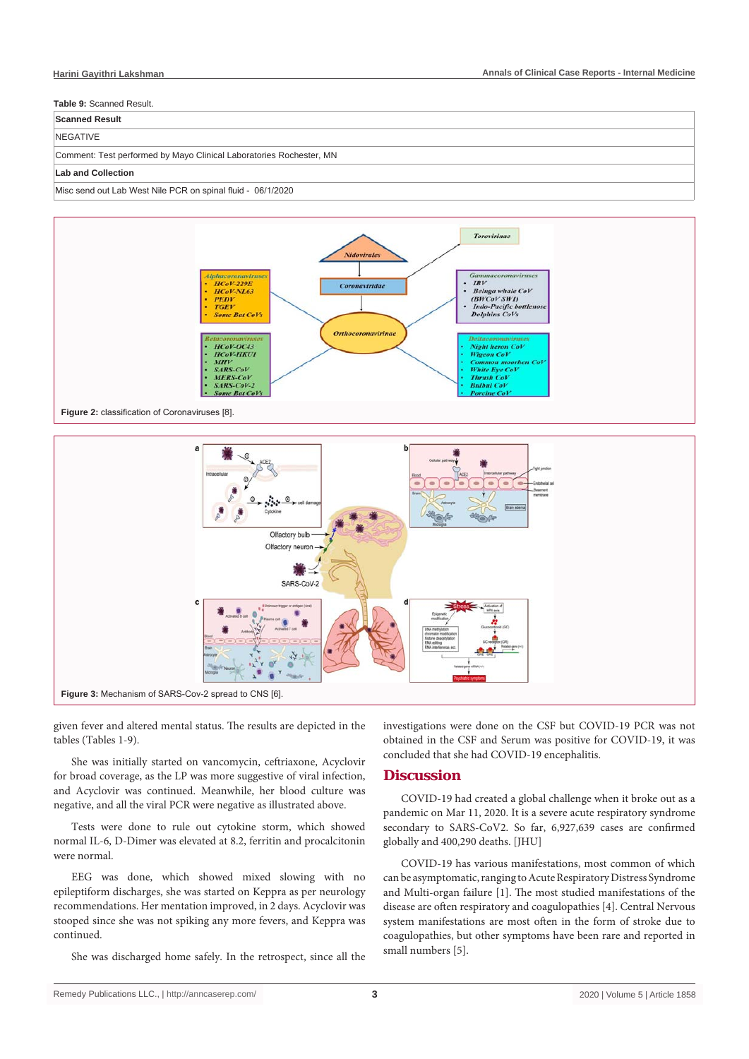## **Table 9:** Scanned Result.

## NEGATIVE

**Scanned Result**

#### Comment: Test performed by Mayo Clinical Laboratories Rochester, MN

#### **Lab and Collection**

#### Misc send out Lab West Nile PCR on spinal fluid - 06/1/2020





given fever and altered mental status. The results are depicted in the tables (Tables 1-9).

She was initially started on vancomycin, ceftriaxone, Acyclovir for broad coverage, as the LP was more suggestive of viral infection, and Acyclovir was continued. Meanwhile, her blood culture was negative, and all the viral PCR were negative as illustrated above.

Tests were done to rule out cytokine storm, which showed normal IL-6, D-Dimer was elevated at 8.2, ferritin and procalcitonin were normal.

EEG was done, which showed mixed slowing with no epileptiform discharges, she was started on Keppra as per neurology recommendations. Her mentation improved, in 2 days. Acyclovir was stooped since she was not spiking any more fevers, and Keppra was continued.

She was discharged home safely. In the retrospect, since all the

investigations were done on the CSF but COVID-19 PCR was not obtained in the CSF and Serum was positive for COVID-19, it was concluded that she had COVID-19 encephalitis.

## **Discussion**

COVID-19 had created a global challenge when it broke out as a pandemic on Mar 11, 2020. It is a severe acute respiratory syndrome secondary to SARS-CoV2. So far, 6,927,639 cases are confirmed globally and 400,290 deaths. [JHU]

COVID-19 has various manifestations, most common of which can be asymptomatic, ranging to Acute Respiratory Distress Syndrome and Multi-organ failure [1]. The most studied manifestations of the disease are often respiratory and coagulopathies [4]. Central Nervous system manifestations are most often in the form of stroke due to coagulopathies, but other symptoms have been rare and reported in small numbers [5].